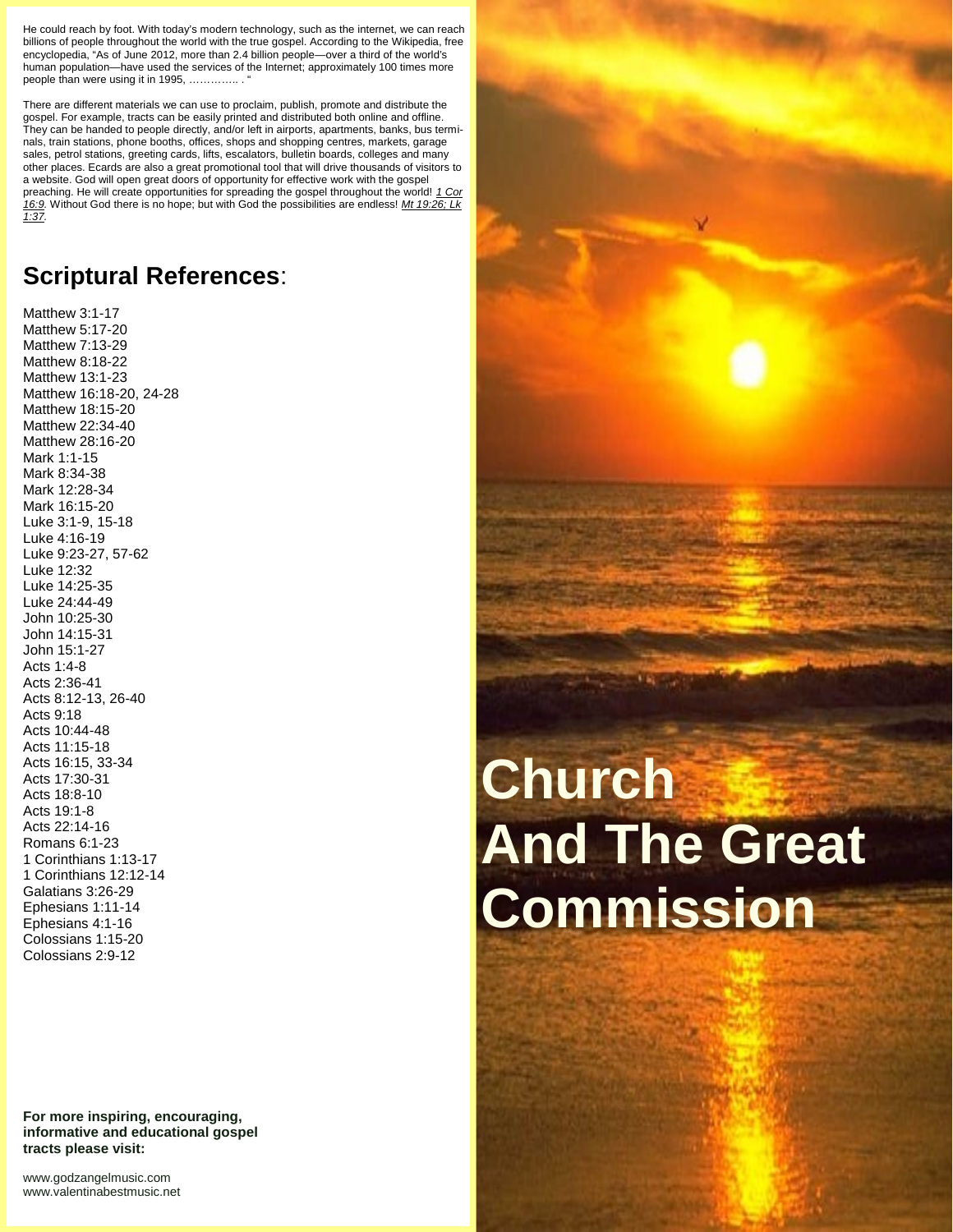He could reach by foot. With today's modern technology, such as the internet, we can reach billions of people throughout the world with the true gospel. According to the Wikipedia, free encyclopedia, "As of June 2012, more than 2.4 billion people—over a third of the world's human population—have used the services of the Internet; approximately 100 times more people than were using it in 1995, ..............

There are different materials we can use to proclaim, publish, promote and distribute the gospel. For example, tracts can be easily printed and distributed both online and offline. They can be handed to people directly, and/or left in airports, apartments, banks, bus terminals, train stations, phone booths, offices, shops and shopping centres, markets, garage sales, petrol stations, greeting cards, lifts, escalators, bulletin boards, colleges and many other places. Ecards are also a great promotional tool that will drive thousands of visitors to a website. God will open great doors of opportunity for effective work with the gospel preaching. He will create opportunities for spreading the gospel throughout the world! *1 Cor 16:9.* Without God there is no hope; but with God the possibilities are endless! *Mt 19:26; Lk 1:37.*

## **Scriptural References**:

Matthew 3:1-17 Matthew 5:17-20 Matthew 7:13-29 Matthew 8:18-22 Matthew 13:1-23 Matthew 16:18-20, 24-28 Matthew 18:15-20 Matthew 22:34-40 Matthew 28:16-20 Mark 1:1-15 Mark 8:34-38 Mark 12:28-34 Mark 16:15-20 Luke 3:1-9, 15-18 Luke 4:16-19 Luke 9:23-27, 57-62 Luke 12:32 Luke 14:25-35 Luke 24:44-49 John 10:25-30 John 14:15-31 John 15:1-27 Acts 1:4-8 Acts 2:36-41 Acts 8:12-13, 26-40 Acts 9:18 Acts 10:44-48 Acts 11:15-18 Acts 16:15, 33-34 Acts 17:30-31 Acts 18:8-10 Acts 19:1-8 Acts 22:14-16 Romans 6:1-23 1 Corinthians 1:13-17 1 Corinthians 12:12-14 Galatians 3:26-29 Ephesians 1:11-14 Ephesians 4:1-16 Colossians 1:15-20 Colossians 2:9-12

**For more inspiring, encouraging, informative and educational gospel tracts please visit:**

<www.godzangelmusic.com> <www.valentinabestmusic.net>